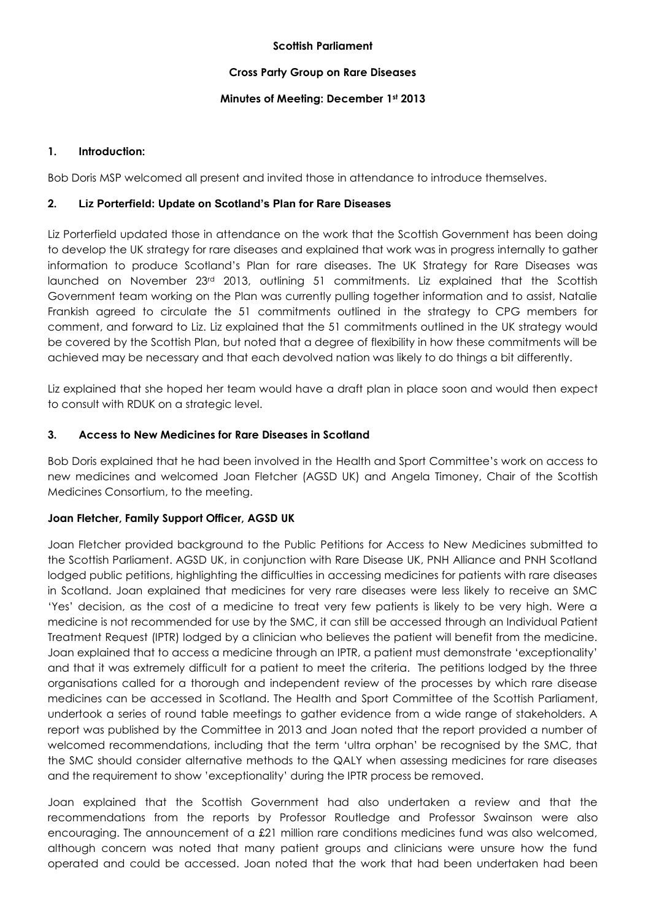#### **Scottish Parliament**

#### **Cross Party Group on Rare Diseases**

#### **Minutes of Meeting: December 1st 2013**

# **1. Introduction:**

Bob Doris MSP welcomed all present and invited those in attendance to introduce themselves.

#### **2. Liz Porterfield: Update on Scotland's Plan for Rare Diseases**

Liz Porterfield updated those in attendance on the work that the Scottish Government has been doing to develop the UK strategy for rare diseases and explained that work was in progress internally to gather information to produce Scotland's Plan for rare diseases. The UK Strategy for Rare Diseases was launched on November 23rd 2013, outlining 51 commitments. Liz explained that the Scottish Government team working on the Plan was currently pulling together information and to assist, Natalie Frankish agreed to circulate the 51 commitments outlined in the strategy to CPG members for comment, and forward to Liz. Liz explained that the 51 commitments outlined in the UK strategy would be covered by the Scottish Plan, but noted that a degree of flexibility in how these commitments will be achieved may be necessary and that each devolved nation was likely to do things a bit differently.

Liz explained that she hoped her team would have a draft plan in place soon and would then expect to consult with RDUK on a strategic level.

# **3. Access to New Medicines for Rare Diseases in Scotland**

Bob Doris explained that he had been involved in the Health and Sport Committee's work on access to new medicines and welcomed Joan Fletcher (AGSD UK) and Angela Timoney, Chair of the Scottish Medicines Consortium, to the meeting.

# **Joan Fletcher, Family Support Officer, AGSD UK**

Joan Fletcher provided background to the Public Petitions for Access to New Medicines submitted to the Scottish Parliament. AGSD UK, in conjunction with Rare Disease UK, PNH Alliance and PNH Scotland lodged public petitions, highlighting the difficulties in accessing medicines for patients with rare diseases in Scotland. Joan explained that medicines for very rare diseases were less likely to receive an SMC 'Yes' decision, as the cost of a medicine to treat very few patients is likely to be very high. Were a medicine is not recommended for use by the SMC, it can still be accessed through an Individual Patient Treatment Request (IPTR) lodged by a clinician who believes the patient will benefit from the medicine. Joan explained that to access a medicine through an IPTR, a patient must demonstrate 'exceptionality' and that it was extremely difficult for a patient to meet the criteria. The petitions lodged by the three organisations called for a thorough and independent review of the processes by which rare disease medicines can be accessed in Scotland. The Health and Sport Committee of the Scottish Parliament, undertook a series of round table meetings to gather evidence from a wide range of stakeholders. A report was published by the Committee in 2013 and Joan noted that the report provided a number of welcomed recommendations, including that the term 'ultra orphan' be recognised by the SMC, that the SMC should consider alternative methods to the QALY when assessing medicines for rare diseases and the requirement to show 'exceptionality' during the IPTR process be removed.

Joan explained that the Scottish Government had also undertaken a review and that the recommendations from the reports by Professor Routledge and Professor Swainson were also encouraging. The announcement of a £21 million rare conditions medicines fund was also welcomed, although concern was noted that many patient groups and clinicians were unsure how the fund operated and could be accessed. Joan noted that the work that had been undertaken had been